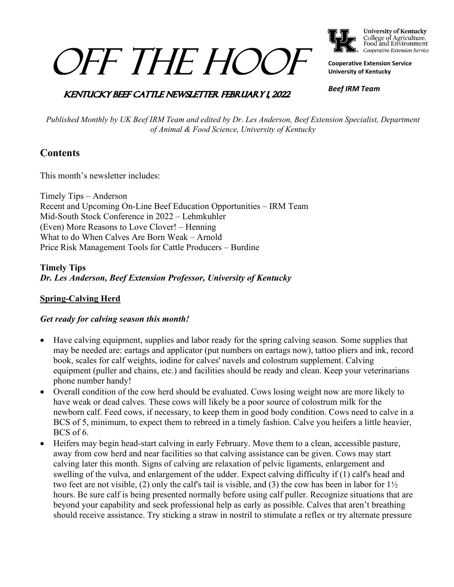# OFF THE HOOF



College of Agriculture,<br>Food and Environment Cooperative Extension Service

**Cooperative Extension Service University of Kentucky**

### **KENTUCKY BEEF CATTLE NEWSLETTER FEBRUARY 1, 2022**

*Beef IRM Team*

*Published Monthly by UK Beef IRM Team and edited by Dr. Les Anderson, Beef Extension Specialist, Department of Animal & Food Science, University of Kentucky*

# **Contents**

This month's newsletter includes:

Timely Tips – Anderson Recent and Upcoming On-Line Beef Education Opportunities – IRM Team Mid-South Stock Conference in 2022 – Lehmkuhler (Even) More Reasons to Love Clover! – Henning What to do When Calves Are Born Weak – Arnold Price Risk Management Tools for Cattle Producers – Burdine

**Timely Tips** *Dr. Les Anderson, Beef Extension Professor, University of Kentucky*

#### **Spring-Calving Herd**

#### *Get ready for calving season this month!*

- Have calving equipment, supplies and labor ready for the spring calving season. Some supplies that may be needed are: eartags and applicator (put numbers on eartags now), tattoo pliers and ink, record book, scales for calf weights, iodine for calves' navels and colostrum supplement. Calving equipment (puller and chains, etc.) and facilities should be ready and clean. Keep your veterinarians phone number handy!
- Overall condition of the cow herd should be evaluated. Cows losing weight now are more likely to have weak or dead calves. These cows will likely be a poor source of colostrum milk for the newborn calf. Feed cows, if necessary, to keep them in good body condition. Cows need to calve in a BCS of 5, minimum, to expect them to rebreed in a timely fashion. Calve you heifers a little heavier, BCS of 6.
- Heifers may begin head-start calving in early February. Move them to a clean, accessible pasture, away from cow herd and near facilities so that calving assistance can be given. Cows may start calving later this month. Signs of calving are relaxation of pelvic ligaments, enlargement and swelling of the vulva, and enlargement of the udder. Expect calving difficulty if (1) calf's head and two feet are not visible, (2) only the calf's tail is visible, and (3) the cow has been in labor for  $1\frac{1}{2}$ hours. Be sure calf is being presented normally before using calf puller. Recognize situations that are beyond your capability and seek professional help as early as possible. Calves that aren't breathing should receive assistance. Try sticking a straw in nostril to stimulate a reflex or try alternate pressure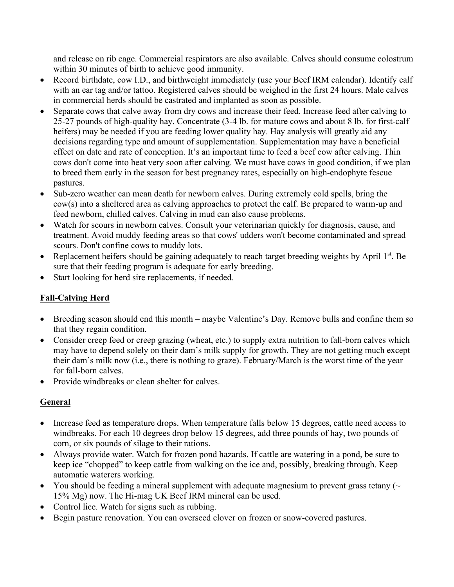and release on rib cage. Commercial respirators are also available. Calves should consume colostrum within 30 minutes of birth to achieve good immunity.

- Record birthdate, cow I.D., and birthweight immediately (use your Beef IRM calendar). Identify calf with an ear tag and/or tattoo. Registered calves should be weighed in the first 24 hours. Male calves in commercial herds should be castrated and implanted as soon as possible.
- Separate cows that calve away from dry cows and increase their feed. Increase feed after calving to 25-27 pounds of high-quality hay. Concentrate (3-4 lb. for mature cows and about 8 lb. for first-calf heifers) may be needed if you are feeding lower quality hay. Hay analysis will greatly aid any decisions regarding type and amount of supplementation. Supplementation may have a beneficial effect on date and rate of conception. It's an important time to feed a beef cow after calving. Thin cows don't come into heat very soon after calving. We must have cows in good condition, if we plan to breed them early in the season for best pregnancy rates, especially on high-endophyte fescue pastures.
- Sub-zero weather can mean death for newborn calves. During extremely cold spells, bring the cow(s) into a sheltered area as calving approaches to protect the calf. Be prepared to warm-up and feed newborn, chilled calves. Calving in mud can also cause problems.
- Watch for scours in newborn calves. Consult your veterinarian quickly for diagnosis, cause, and treatment. Avoid muddy feeding areas so that cows' udders won't become contaminated and spread scours. Don't confine cows to muddy lots.
- Replacement heifers should be gaining adequately to reach target breeding weights by April  $1<sup>st</sup>$ . Be sure that their feeding program is adequate for early breeding.
- Start looking for herd sire replacements, if needed.

# **Fall-Calving Herd**

- Breeding season should end this month maybe Valentine's Day. Remove bulls and confine them so that they regain condition.
- Consider creep feed or creep grazing (wheat, etc.) to supply extra nutrition to fall-born calves which may have to depend solely on their dam's milk supply for growth. They are not getting much except their dam's milk now (i.e., there is nothing to graze). February/March is the worst time of the year for fall-born calves.
- Provide windbreaks or clean shelter for calves.

# **General**

- Increase feed as temperature drops. When temperature falls below 15 degrees, cattle need access to windbreaks. For each 10 degrees drop below 15 degrees, add three pounds of hay, two pounds of corn, or six pounds of silage to their rations.
- Always provide water. Watch for frozen pond hazards. If cattle are watering in a pond, be sure to keep ice "chopped" to keep cattle from walking on the ice and, possibly, breaking through. Keep automatic waterers working.
- You should be feeding a mineral supplement with adequate magnesium to prevent grass tetany ( $\sim$ 15% Mg) now. The Hi-mag UK Beef IRM mineral can be used.
- Control lice. Watch for signs such as rubbing.
- Begin pasture renovation. You can overseed clover on frozen or snow-covered pastures.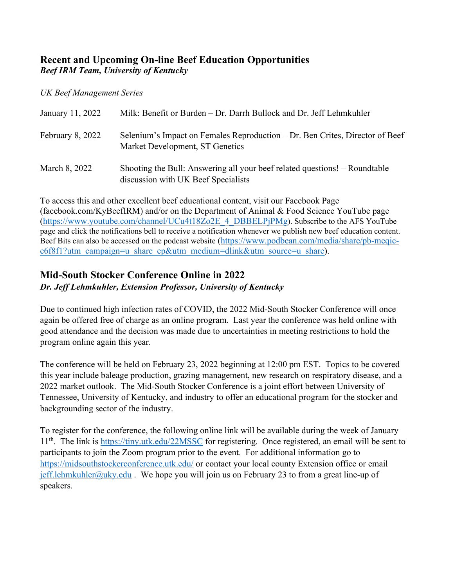# **Recent and Upcoming On-line Beef Education Opportunities** *Beef IRM Team, University of Kentucky*

*UK Beef Management Series*

| January 11, 2022 | Milk: Benefit or Burden – Dr. Darrh Bullock and Dr. Jeff Lehmkuhler                                               |
|------------------|-------------------------------------------------------------------------------------------------------------------|
| February 8, 2022 | Selenium's Impact on Females Reproduction – Dr. Ben Crites, Director of Beef<br>Market Development, ST Genetics   |
| March 8, 2022    | Shooting the Bull: Answering all your beef related questions! – Roundtable<br>discussion with UK Beef Specialists |

To access this and other excellent beef educational content, visit our Facebook Page (facebook.com/KyBeefIRM) and/or on the Department of Animal & Food Science YouTube page [\(https://www.youtube.com/channel/UCu4t18Zo2E\\_4\\_DBBELPjPMg\)](https://www.youtube.com/channel/UCu4t18Zo2E_4_DBBELPjPMg). Subscribe to the AFS YouTube page and click the notifications bell to receive a notification whenever we publish new beef education content. Beef Bits can also be accessed on the podcast website [\(https://www.podbean.com/media/share/pb-meqic](https://www.podbean.com/media/share/pb-meqic-e6f8f1?utm_campaign=u_share_ep&utm_medium=dlink&utm_source=u_share)[e6f8f1?utm\\_campaign=u\\_share\\_ep&utm\\_medium=dlink&utm\\_source=u\\_share\)](https://www.podbean.com/media/share/pb-meqic-e6f8f1?utm_campaign=u_share_ep&utm_medium=dlink&utm_source=u_share).

# **Mid-South Stocker Conference Online in 2022**

*Dr. Jeff Lehmkuhler, Extension Professor, University of Kentucky*

Due to continued high infection rates of COVID, the 2022 Mid-South Stocker Conference will once again be offered free of charge as an online program. Last year the conference was held online with good attendance and the decision was made due to uncertainties in meeting restrictions to hold the program online again this year.

The conference will be held on February 23, 2022 beginning at 12:00 pm EST. Topics to be covered this year include baleage production, grazing management, new research on respiratory disease, and a 2022 market outlook. The Mid-South Stocker Conference is a joint effort between University of Tennessee, University of Kentucky, and industry to offer an educational program for the stocker and backgrounding sector of the industry.

To register for the conference, the following online link will be available during the week of January 11<sup>th</sup>. The link is<https://tiny.utk.edu/22MSSC> for registering. Once registered, an email will be sent to participants to join the Zoom program prior to the event. For additional information go to <https://midsouthstockerconference.utk.edu/> or contact your local county Extension office or email [jeff.lehmkuhler@uky.edu](mailto:jeff.lehmkuhler@uky.edu). We hope you will join us on February 23 to from a great line-up of speakers.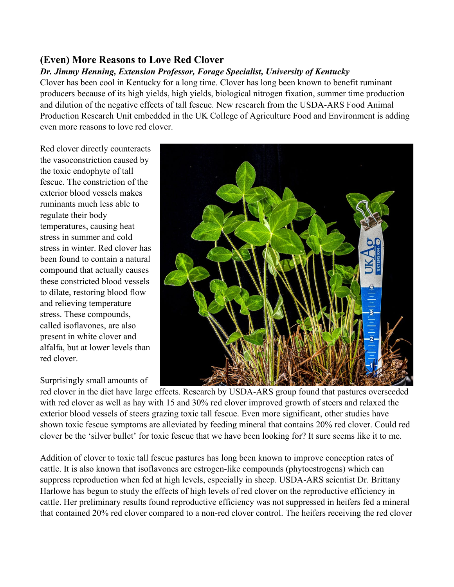# **(Even) More Reasons to Love Red Clover**

### *Dr. Jimmy Henning, Extension Professor, Forage Specialist, University of Kentucky*

Clover has been cool in Kentucky for a long time. Clover has long been known to benefit ruminant producers because of its high yields, high yields, biological nitrogen fixation, summer time production and dilution of the negative effects of tall fescue. New research from the USDA-ARS Food Animal Production Research Unit embedded in the UK College of Agriculture Food and Environment is adding even more reasons to love red clover.

Red clover directly counteracts the vasoconstriction caused by the toxic endophyte of tall fescue. The constriction of the exterior blood vessels makes ruminants much less able to regulate their body temperatures, causing heat stress in summer and cold stress in winter. Red clover has been found to contain a natural compound that actually causes these constricted blood vessels to dilate, restoring blood flow and relieving temperature stress. These compounds, called isoflavones, are also present in white clover and alfalfa, but at lower levels than red clover.

### Surprisingly small amounts of



red clover in the diet have large effects. Research by USDA-ARS group found that pastures overseeded with red clover as well as hay with 15 and 30% red clover improved growth of steers and relaxed the exterior blood vessels of steers grazing toxic tall fescue. Even more significant, other studies have shown toxic fescue symptoms are alleviated by feeding mineral that contains 20% red clover. Could red clover be the 'silver bullet' for toxic fescue that we have been looking for? It sure seems like it to me.

Addition of clover to toxic tall fescue pastures has long been known to improve conception rates of cattle. It is also known that isoflavones are estrogen-like compounds (phytoestrogens) which can suppress reproduction when fed at high levels, especially in sheep. USDA-ARS scientist Dr. Brittany Harlowe has begun to study the effects of high levels of red clover on the reproductive efficiency in cattle. Her preliminary results found reproductive efficiency was not suppressed in heifers fed a mineral that contained 20% red clover compared to a non-red clover control. The heifers receiving the red clover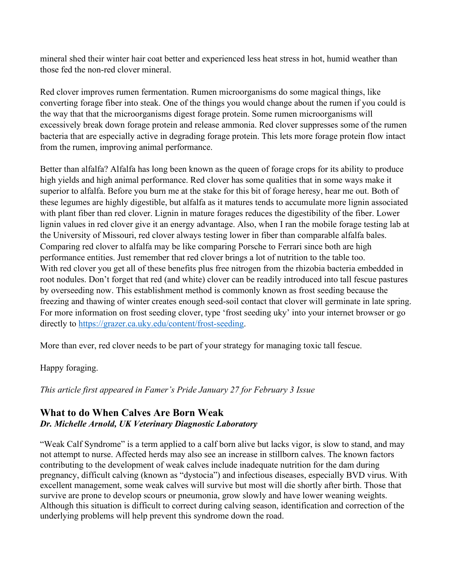mineral shed their winter hair coat better and experienced less heat stress in hot, humid weather than those fed the non-red clover mineral.

Red clover improves rumen fermentation. Rumen microorganisms do some magical things, like converting forage fiber into steak. One of the things you would change about the rumen if you could is the way that that the microorganisms digest forage protein. Some rumen microorganisms will excessively break down forage protein and release ammonia. Red clover suppresses some of the rumen bacteria that are especially active in degrading forage protein. This lets more forage protein flow intact from the rumen, improving animal performance.

Better than alfalfa? Alfalfa has long been known as the queen of forage crops for its ability to produce high yields and high animal performance. Red clover has some qualities that in some ways make it superior to alfalfa. Before you burn me at the stake for this bit of forage heresy, hear me out. Both of these legumes are highly digestible, but alfalfa as it matures tends to accumulate more lignin associated with plant fiber than red clover. Lignin in mature forages reduces the digestibility of the fiber. Lower lignin values in red clover give it an energy advantage. Also, when I ran the mobile forage testing lab at the University of Missouri, red clover always testing lower in fiber than comparable alfalfa bales. Comparing red clover to alfalfa may be like comparing Porsche to Ferrari since both are high performance entities. Just remember that red clover brings a lot of nutrition to the table too. With red clover you get all of these benefits plus free nitrogen from the rhizobia bacteria embedded in root nodules. Don't forget that red (and white) clover can be readily introduced into tall fescue pastures by overseeding now. This establishment method is commonly known as frost seeding because the freezing and thawing of winter creates enough seed-soil contact that clover will germinate in late spring. For more information on frost seeding clover, type 'frost seeding uky' into your internet browser or go directly to [https://grazer.ca.uky.edu/content/frost-seeding.](https://grazer.ca.uky.edu/content/frost-seeding)

More than ever, red clover needs to be part of your strategy for managing toxic tall fescue.

#### Happy foraging.

*This article first appeared in Famer's Pride January 27 for February 3 Issue*

### **What to do When Calves Are Born Weak** *Dr. Michelle Arnold, UK Veterinary Diagnostic Laboratory*

"Weak Calf Syndrome" is a term applied to a calf born alive but lacks vigor, is slow to stand, and may not attempt to nurse. Affected herds may also see an increase in stillborn calves. The known factors contributing to the development of weak calves include inadequate nutrition for the dam during pregnancy, difficult calving (known as "dystocia") and infectious diseases, especially BVD virus. With excellent management, some weak calves will survive but most will die shortly after birth. Those that survive are prone to develop scours or pneumonia, grow slowly and have lower weaning weights. Although this situation is difficult to correct during calving season, identification and correction of the underlying problems will help prevent this syndrome down the road.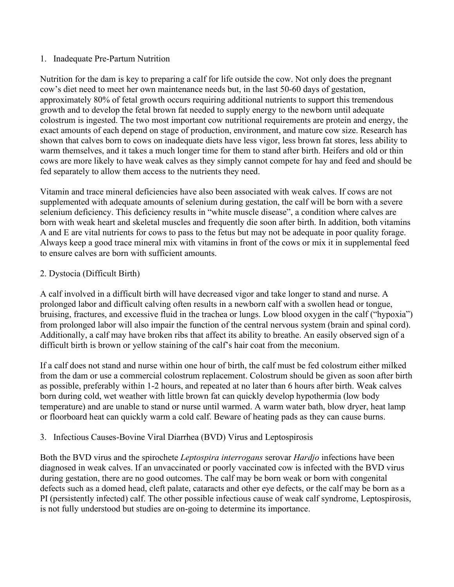#### 1. Inadequate Pre-Partum Nutrition

Nutrition for the dam is key to preparing a calf for life outside the cow. Not only does the pregnant cow's diet need to meet her own maintenance needs but, in the last 50-60 days of gestation, approximately 80% of fetal growth occurs requiring additional nutrients to support this tremendous growth and to develop the fetal brown fat needed to supply energy to the newborn until adequate colostrum is ingested. The two most important cow nutritional requirements are protein and energy, the exact amounts of each depend on stage of production, environment, and mature cow size. Research has shown that calves born to cows on inadequate diets have less vigor, less brown fat stores, less ability to warm themselves, and it takes a much longer time for them to stand after birth. Heifers and old or thin cows are more likely to have weak calves as they simply cannot compete for hay and feed and should be fed separately to allow them access to the nutrients they need.

Vitamin and trace mineral deficiencies have also been associated with weak calves. If cows are not supplemented with adequate amounts of selenium during gestation, the calf will be born with a severe selenium deficiency. This deficiency results in "white muscle disease", a condition where calves are born with weak heart and skeletal muscles and frequently die soon after birth. In addition, both vitamins A and E are vital nutrients for cows to pass to the fetus but may not be adequate in poor quality forage. Always keep a good trace mineral mix with vitamins in front of the cows or mix it in supplemental feed to ensure calves are born with sufficient amounts.

#### 2. Dystocia (Difficult Birth)

A calf involved in a difficult birth will have decreased vigor and take longer to stand and nurse. A prolonged labor and difficult calving often results in a newborn calf with a swollen head or tongue, bruising, fractures, and excessive fluid in the trachea or lungs. Low blood oxygen in the calf ("hypoxia") from prolonged labor will also impair the function of the central nervous system (brain and spinal cord). Additionally, a calf may have broken ribs that affect its ability to breathe. An easily observed sign of a difficult birth is brown or yellow staining of the calf's hair coat from the meconium.

If a calf does not stand and nurse within one hour of birth, the calf must be fed colostrum either milked from the dam or use a commercial colostrum replacement. Colostrum should be given as soon after birth as possible, preferably within 1-2 hours, and repeated at no later than 6 hours after birth. Weak calves born during cold, wet weather with little brown fat can quickly develop hypothermia (low body temperature) and are unable to stand or nurse until warmed. A warm water bath, blow dryer, heat lamp or floorboard heat can quickly warm a cold calf. Beware of heating pads as they can cause burns.

#### 3. Infectious Causes-Bovine Viral Diarrhea (BVD) Virus and Leptospirosis

Both the BVD virus and the spirochete *Leptospira interrogans* serovar *Hardjo* infections have been diagnosed in weak calves. If an unvaccinated or poorly vaccinated cow is infected with the BVD virus during gestation, there are no good outcomes. The calf may be born weak or born with congenital defects such as a domed head, cleft palate, cataracts and other eye defects, or the calf may be born as a PI (persistently infected) calf. The other possible infectious cause of weak calf syndrome, Leptospirosis, is not fully understood but studies are on-going to determine its importance.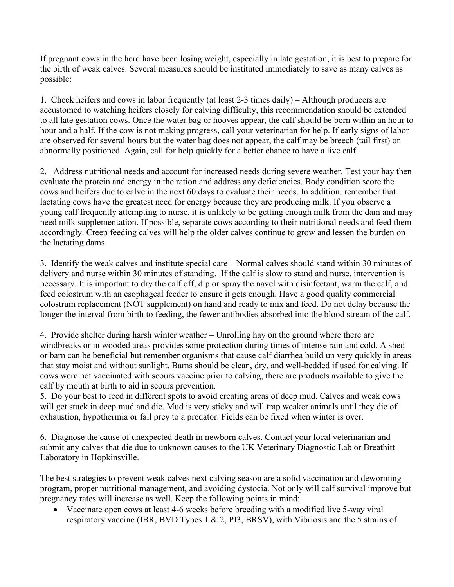If pregnant cows in the herd have been losing weight, especially in late gestation, it is best to prepare for the birth of weak calves. Several measures should be instituted immediately to save as many calves as possible:

1. Check heifers and cows in labor frequently (at least 2-3 times daily) – Although producers are accustomed to watching heifers closely for calving difficulty, this recommendation should be extended to all late gestation cows. Once the water bag or hooves appear, the calf should be born within an hour to hour and a half. If the cow is not making progress, call your veterinarian for help. If early signs of labor are observed for several hours but the water bag does not appear, the calf may be breech (tail first) or abnormally positioned. Again, call for help quickly for a better chance to have a live calf.

2. Address nutritional needs and account for increased needs during severe weather. Test your hay then evaluate the protein and energy in the ration and address any deficiencies. Body condition score the cows and heifers due to calve in the next 60 days to evaluate their needs. In addition, remember that lactating cows have the greatest need for energy because they are producing milk. If you observe a young calf frequently attempting to nurse, it is unlikely to be getting enough milk from the dam and may need milk supplementation. If possible, separate cows according to their nutritional needs and feed them accordingly. Creep feeding calves will help the older calves continue to grow and lessen the burden on the lactating dams.

3. Identify the weak calves and institute special care – Normal calves should stand within 30 minutes of delivery and nurse within 30 minutes of standing. If the calf is slow to stand and nurse, intervention is necessary. It is important to dry the calf off, dip or spray the navel with disinfectant, warm the calf, and feed colostrum with an esophageal feeder to ensure it gets enough. Have a good quality commercial colostrum replacement (NOT supplement) on hand and ready to mix and feed. Do not delay because the longer the interval from birth to feeding, the fewer antibodies absorbed into the blood stream of the calf.

4. Provide shelter during harsh winter weather – Unrolling hay on the ground where there are windbreaks or in wooded areas provides some protection during times of intense rain and cold. A shed or barn can be beneficial but remember organisms that cause calf diarrhea build up very quickly in areas that stay moist and without sunlight. Barns should be clean, dry, and well-bedded if used for calving. If cows were not vaccinated with scours vaccine prior to calving, there are products available to give the calf by mouth at birth to aid in scours prevention.

5. Do your best to feed in different spots to avoid creating areas of deep mud. Calves and weak cows will get stuck in deep mud and die. Mud is very sticky and will trap weaker animals until they die of exhaustion, hypothermia or fall prey to a predator. Fields can be fixed when winter is over.

6. Diagnose the cause of unexpected death in newborn calves. Contact your local veterinarian and submit any calves that die due to unknown causes to the UK Veterinary Diagnostic Lab or Breathitt Laboratory in Hopkinsville.

The best strategies to prevent weak calves next calving season are a solid vaccination and deworming program, proper nutritional management, and avoiding dystocia. Not only will calf survival improve but pregnancy rates will increase as well. Keep the following points in mind:

• Vaccinate open cows at least 4-6 weeks before breeding with a modified live 5-way viral respiratory vaccine (IBR, BVD Types 1 & 2, PI3, BRSV), with Vibriosis and the 5 strains of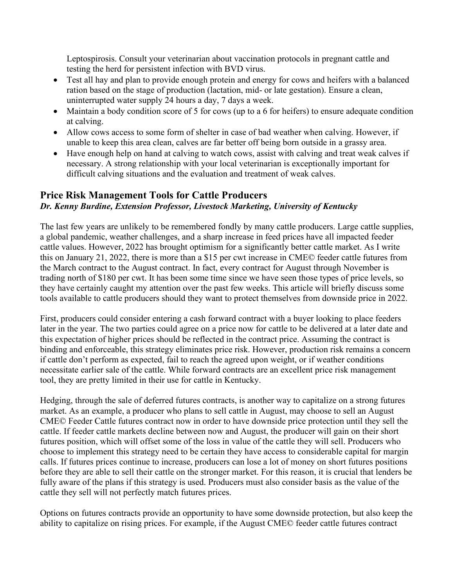Leptospirosis. Consult your veterinarian about vaccination protocols in pregnant cattle and testing the herd for persistent infection with BVD virus.

- Test all hay and plan to provide enough protein and energy for cows and heifers with a balanced ration based on the stage of production (lactation, mid- or late gestation). Ensure a clean, uninterrupted water supply 24 hours a day, 7 days a week.
- Maintain a body condition score of 5 for cows (up to a 6 for heifers) to ensure adequate condition at calving.
- Allow cows access to some form of shelter in case of bad weather when calving. However, if unable to keep this area clean, calves are far better off being born outside in a grassy area.
- Have enough help on hand at calving to watch cows, assist with calving and treat weak calves if necessary. A strong relationship with your local veterinarian is exceptionally important for difficult calving situations and the evaluation and treatment of weak calves.

## **Price Risk Management Tools for Cattle Producers** *Dr. Kenny Burdine, Extension Professor, Livestock Marketing, University of Kentucky*

The last few years are unlikely to be remembered fondly by many cattle producers. Large cattle supplies, a global pandemic, weather challenges, and a sharp increase in feed prices have all impacted feeder cattle values. However, 2022 has brought optimism for a significantly better cattle market. As I write this on January 21, 2022, there is more than a \$15 per cwt increase in CME© feeder cattle futures from the March contract to the August contract. In fact, every contract for August through November is trading north of \$180 per cwt. It has been some time since we have seen those types of price levels, so they have certainly caught my attention over the past few weeks. This article will briefly discuss some tools available to cattle producers should they want to protect themselves from downside price in 2022.

First, producers could consider entering a cash forward contract with a buyer looking to place feeders later in the year. The two parties could agree on a price now for cattle to be delivered at a later date and this expectation of higher prices should be reflected in the contract price. Assuming the contract is binding and enforceable, this strategy eliminates price risk. However, production risk remains a concern if cattle don't perform as expected, fail to reach the agreed upon weight, or if weather conditions necessitate earlier sale of the cattle. While forward contracts are an excellent price risk management tool, they are pretty limited in their use for cattle in Kentucky.

Hedging, through the sale of deferred futures contracts, is another way to capitalize on a strong futures market. As an example, a producer who plans to sell cattle in August, may choose to sell an August CME© Feeder Cattle futures contract now in order to have downside price protection until they sell the cattle. If feeder cattle markets decline between now and August, the producer will gain on their short futures position, which will offset some of the loss in value of the cattle they will sell. Producers who choose to implement this strategy need to be certain they have access to considerable capital for margin calls. If futures prices continue to increase, producers can lose a lot of money on short futures positions before they are able to sell their cattle on the stronger market. For this reason, it is crucial that lenders be fully aware of the plans if this strategy is used. Producers must also consider basis as the value of the cattle they sell will not perfectly match futures prices.

Options on futures contracts provide an opportunity to have some downside protection, but also keep the ability to capitalize on rising prices. For example, if the August CME© feeder cattle futures contract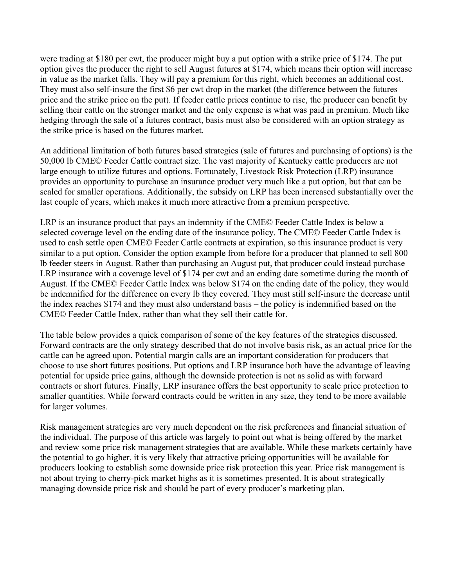were trading at \$180 per cwt, the producer might buy a put option with a strike price of \$174. The put option gives the producer the right to sell August futures at \$174, which means their option will increase in value as the market falls. They will pay a premium for this right, which becomes an additional cost. They must also self-insure the first \$6 per cwt drop in the market (the difference between the futures price and the strike price on the put). If feeder cattle prices continue to rise, the producer can benefit by selling their cattle on the stronger market and the only expense is what was paid in premium. Much like hedging through the sale of a futures contract, basis must also be considered with an option strategy as the strike price is based on the futures market.

An additional limitation of both futures based strategies (sale of futures and purchasing of options) is the 50,000 lb CME© Feeder Cattle contract size. The vast majority of Kentucky cattle producers are not large enough to utilize futures and options. Fortunately, Livestock Risk Protection (LRP) insurance provides an opportunity to purchase an insurance product very much like a put option, but that can be scaled for smaller operations. Additionally, the subsidy on LRP has been increased substantially over the last couple of years, which makes it much more attractive from a premium perspective.

LRP is an insurance product that pays an indemnity if the CME© Feeder Cattle Index is below a selected coverage level on the ending date of the insurance policy. The CME© Feeder Cattle Index is used to cash settle open CME© Feeder Cattle contracts at expiration, so this insurance product is very similar to a put option. Consider the option example from before for a producer that planned to sell 800 lb feeder steers in August. Rather than purchasing an August put, that producer could instead purchase LRP insurance with a coverage level of \$174 per cwt and an ending date sometime during the month of August. If the CME© Feeder Cattle Index was below \$174 on the ending date of the policy, they would be indemnified for the difference on every lb they covered. They must still self-insure the decrease until the index reaches \$174 and they must also understand basis – the policy is indemnified based on the CME© Feeder Cattle Index, rather than what they sell their cattle for.

The table below provides a quick comparison of some of the key features of the strategies discussed. Forward contracts are the only strategy described that do not involve basis risk, as an actual price for the cattle can be agreed upon. Potential margin calls are an important consideration for producers that choose to use short futures positions. Put options and LRP insurance both have the advantage of leaving potential for upside price gains, although the downside protection is not as solid as with forward contracts or short futures. Finally, LRP insurance offers the best opportunity to scale price protection to smaller quantities. While forward contracts could be written in any size, they tend to be more available for larger volumes.

Risk management strategies are very much dependent on the risk preferences and financial situation of the individual. The purpose of this article was largely to point out what is being offered by the market and review some price risk management strategies that are available. While these markets certainly have the potential to go higher, it is very likely that attractive pricing opportunities will be available for producers looking to establish some downside price risk protection this year. Price risk management is not about trying to cherry-pick market highs as it is sometimes presented. It is about strategically managing downside price risk and should be part of every producer's marketing plan.